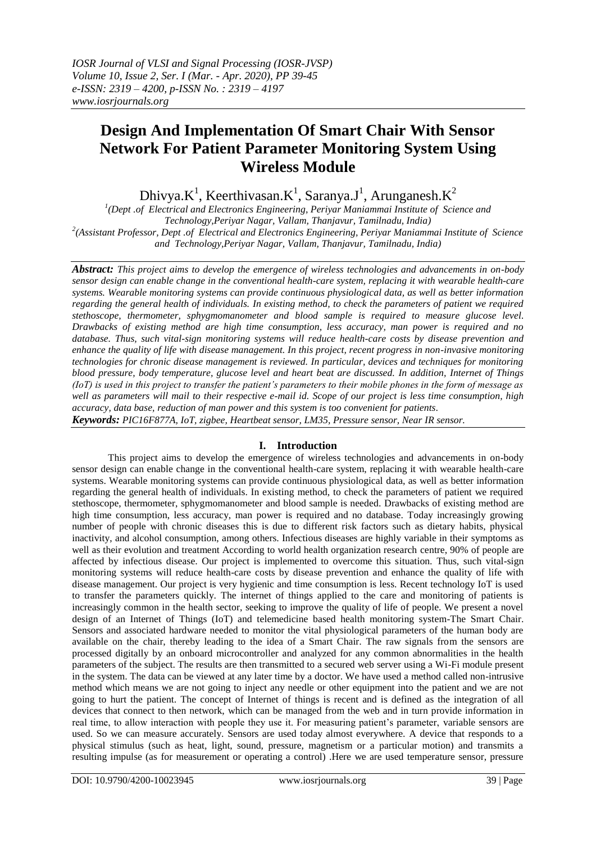# **Design And Implementation Of Smart Chair With Sensor Network For Patient Parameter Monitoring System Using Wireless Module**

Dhivya.K<sup>1</sup>, Keerthivasan.K<sup>1</sup>, Saranya.J<sup>1</sup>, Arunganesh.K<sup>2</sup>

<sup>1</sup>(Dept .of Electrical and Electronics Engineering, Periyar Maniammai Institute of Science and *Technology,Periyar Nagar, Vallam, Thanjavur, Tamilnadu, India)* <sup>2</sup>(Assistant Professor, Dept .of Electrical and Electronics Engineering, Periyar Maniammai Institute of Science *and Technology,Periyar Nagar, Vallam, Thanjavur, Tamilnadu, India)*

*Abstract: This project aims to develop the emergence of wireless technologies and advancements in on-body sensor design can enable change in the conventional health-care system, replacing it with wearable health-care systems. Wearable monitoring systems can provide continuous physiological data, as well as better information regarding the general health of individuals. In existing method, to check the parameters of patient we required stethoscope, thermometer, sphygmomanometer and blood sample is required to measure glucose level. Drawbacks of existing method are high time consumption, less accuracy, man power is required and no database. Thus, such vital-sign monitoring systems will reduce health-care costs by disease prevention and enhance the quality of life with disease management. In this project, recent progress in non-invasive monitoring technologies for chronic disease management is reviewed. In particular, devices and techniques for monitoring blood pressure, body temperature, glucose level and heart beat are discussed. In addition, Internet of Things (IoT) is used in this project to transfer the patient's parameters to their mobile phones in the form of message as well as parameters will mail to their respective e-mail id. Scope of our project is less time consumption, high accuracy, data base, reduction of man power and this system is too convenient for patients*.

*Keywords: PIC16F877A, IoT, zigbee, Heartbeat sensor, LM35, Pressure sensor, Near IR sensor.*

## **I. Introduction**

This project aims to develop the emergence of wireless technologies and advancements in on-body sensor design can enable change in the conventional health-care system, replacing it with wearable health-care systems. Wearable monitoring systems can provide continuous physiological data, as well as better information regarding the general health of individuals. In existing method, to check the parameters of patient we required stethoscope, thermometer, sphygmomanometer and blood sample is needed. Drawbacks of existing method are high time consumption, less accuracy, man power is required and no database. Today increasingly growing number of people with chronic diseases this is due to different risk factors such as dietary habits, physical inactivity, and alcohol consumption, among others. Infectious diseases are highly variable in their symptoms as well as their evolution and treatment According to world health organization research centre, 90% of people are affected by infectious disease. Our project is implemented to overcome this situation. Thus, such vital-sign monitoring systems will reduce health-care costs by disease prevention and enhance the quality of life with disease management. Our project is very hygienic and time consumption is less. Recent technology IoT is used to transfer the parameters quickly. The internet of things applied to the care and monitoring of patients is increasingly common in the health sector, seeking to improve the quality of life of people. We present a novel design of an Internet of Things (IoT) and telemedicine based health monitoring system-The Smart Chair. Sensors and associated hardware needed to monitor the vital physiological parameters of the human body are available on the chair, thereby leading to the idea of a Smart Chair. The raw signals from the sensors are processed digitally by an onboard microcontroller and analyzed for any common abnormalities in the health parameters of the subject. The results are then transmitted to a secured web server using a Wi-Fi module present in the system. The data can be viewed at any later time by a doctor. We have used a method called non-intrusive method which means we are not going to inject any needle or other equipment into the patient and we are not going to hurt the patient. The concept of Internet of things is recent and is defined as the integration of all devices that connect to then network, which can be managed from the web and in turn provide information in real time, to allow interaction with people they use it. For measuring patient"s parameter, variable sensors are used. So we can measure accurately. Sensors are used today almost everywhere. A device that responds to a physical stimulus (such as heat, light, sound, pressure, magnetism or a particular motion) and transmits a resulting impulse (as for measurement or operating a control) .Here we are used temperature sensor, pressure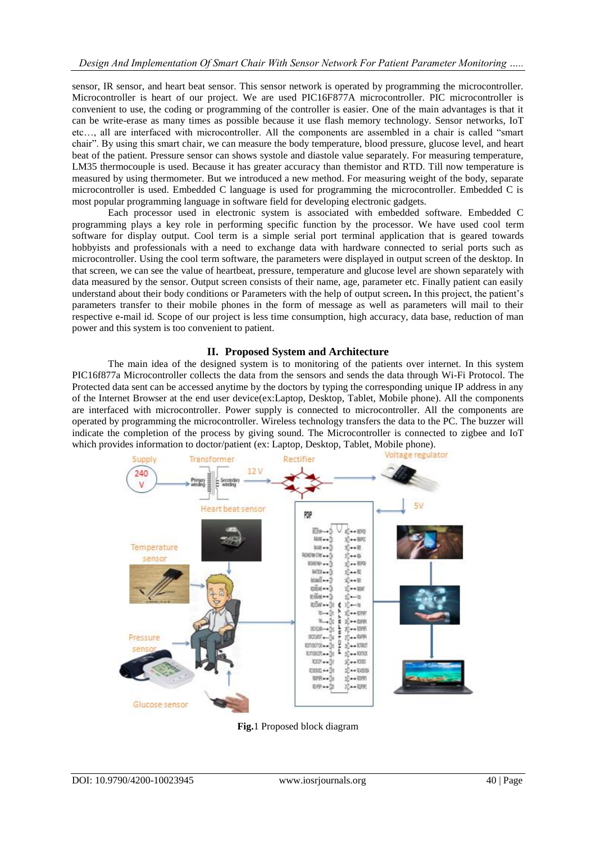sensor, IR sensor, and heart beat sensor. This sensor network is operated by programming the microcontroller. Microcontroller is heart of our project. We are used PIC16F877A microcontroller. PIC microcontroller is convenient to use, the coding or programming of the controller is easier. One of the main advantages is that it can be write-erase as many times as possible because it use flash memory technology. Sensor networks, IoT etc…, all are interfaced with microcontroller. All the components are assembled in a chair is called "smart chair". By using this smart chair, we can measure the body temperature, blood pressure, glucose level, and heart beat of the patient. Pressure sensor can shows systole and diastole value separately. For measuring temperature, LM35 thermocouple is used. Because it has greater accuracy than themistor and RTD. Till now temperature is measured by using thermometer. But we introduced a new method. For measuring weight of the body, separate microcontroller is used. Embedded C language is used for programming the microcontroller. Embedded C is most popular programming language in software field for developing electronic gadgets.

Each processor used in electronic system is associated with embedded software. Embedded C programming plays a key role in performing specific function by the processor. We have used cool term software for display output. Cool term is a simple serial port terminal application that is geared towards hobbyists and professionals with a need to exchange data with hardware connected to serial ports such as microcontroller. Using the cool term software, the parameters were displayed in output screen of the desktop. In that screen, we can see the value of heartbeat, pressure, temperature and glucose level are shown separately with data measured by the sensor. Output screen consists of their name, age, parameter etc. Finally patient can easily understand about their body conditions or Parameters with the help of output screen**.** In this project, the patient"s parameters transfer to their mobile phones in the form of message as well as parameters will mail to their respective e-mail id. Scope of our project is less time consumption, high accuracy, data base, reduction of man power and this system is too convenient to patient.

## **II. Proposed System and Architecture**

The main idea of the designed system is to monitoring of the patients over internet. In this system PIC16f877a Microcontroller collects the data from the sensors and sends the data through Wi-Fi Protocol. The Protected data sent can be accessed anytime by the doctors by typing the corresponding unique IP address in any of the Internet Browser at the end user device(ex:Laptop, Desktop, Tablet, Mobile phone). All the components are interfaced with microcontroller. Power supply is connected to microcontroller. All the components are operated by programming the microcontroller. Wireless technology transfers the data to the PC. The buzzer will indicate the completion of the process by giving sound. The Microcontroller is connected to zigbee and IoT which provides information to doctor/patient (ex: Laptop, Desktop, Tablet, Mobile phone).



**Fig.**1 Proposed block diagram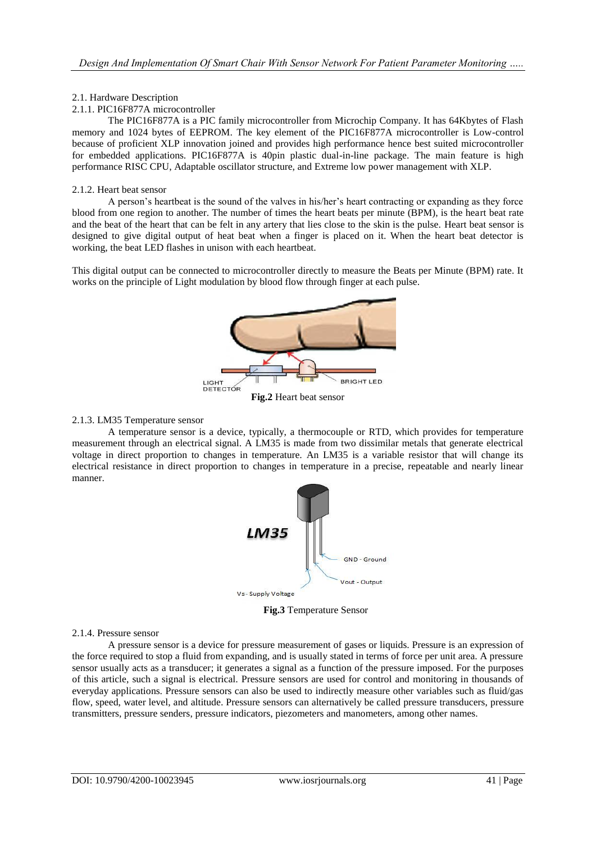## 2.1. Hardware Description

## 2.1.1. PIC16F877A microcontroller

The PIC16F877A is a PIC family microcontroller from Microchip Company. It has 64Kbytes of Flash memory and 1024 bytes of EEPROM. The key element of the PIC16F877A microcontroller is Low-control because of proficient XLP innovation joined and provides high performance hence best suited microcontroller for embedded applications. PIC16F877A is 40pin plastic dual-in-line package. The main feature is high performance RISC CPU, Adaptable oscillator structure, and Extreme low power management with XLP.

## 2.1.2. Heart beat sensor

A person"s heartbeat is the sound of the valves in his/her"s heart contracting or expanding as they force blood from one region to another. The number of times the heart beats per minute (BPM), is the heart beat rate and the beat of the heart that can be felt in any artery that lies close to the skin is the pulse. Heart beat sensor is designed to give digital output of heat beat when a finger is placed on it. When the heart beat detector is working, the beat LED flashes in unison with each heartbeat.

This digital output can be connected to microcontroller directly to measure the Beats per Minute (BPM) rate. It works on the principle of Light modulation by blood flow through finger at each pulse.



## 2.1.3. LM35 Temperature sensor

A temperature sensor is a device, typically, a thermocouple or RTD, which provides for temperature measurement through an electrical signal. A LM35 is made from two dissimilar metals that generate electrical voltage in direct proportion to changes in temperature. An LM35 is a variable resistor that will change its electrical resistance in direct proportion to changes in temperature in a precise, repeatable and nearly linear manner.



**Fig.3** Temperature Sensor

## 2.1.4. Pressure sensor

A pressure sensor is a device for [pressure measurement](https://en.wikipedia.org/wiki/Pressure_measurement) of [gases](https://en.wikipedia.org/wiki/Gas) or [liquids.](https://en.wikipedia.org/wiki/Liquids) Pressure is an expression of the force required to stop a fluid from expanding, and is usually stated in terms of force per unit area. A pressure sensor usually acts as a [transducer;](https://en.wikipedia.org/wiki/Transducer) it generates a signal as a [function](https://en.wikipedia.org/wiki/Function_(mathematics)) of the pressure imposed. For the purposes of this article, such a signal is electrical. Pressure sensors are used for control and monitoring in thousands of everyday applications. Pressure sensors can also be used to indirectly measure other variables such as fluid/gas flow, speed, [water level,](https://en.wikipedia.org/wiki/Water_level) and [altitude.](https://en.wikipedia.org/wiki/Altitude) Pressure sensors can alternatively be called pressure transducers, pressure transmitters, pressure senders, pressure indicators, piezometers and manometers, among other names.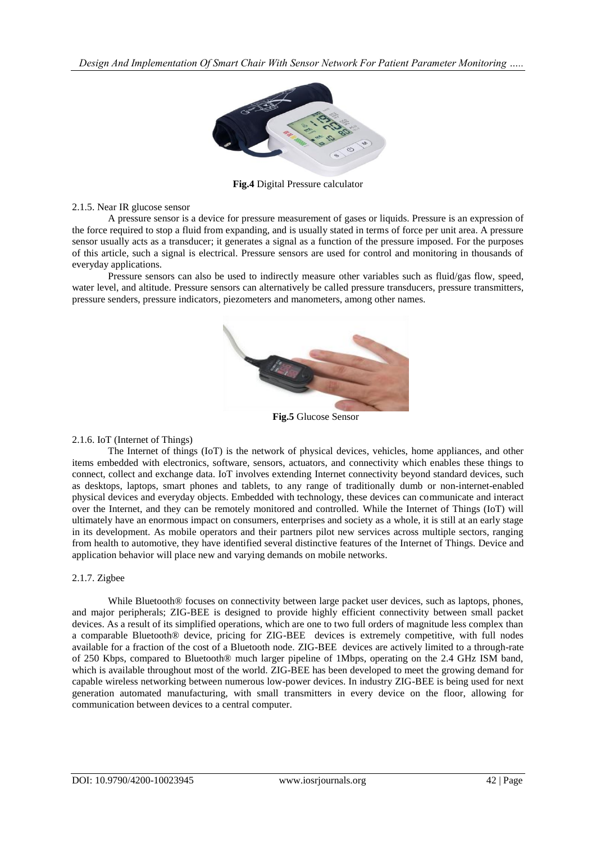*Design And Implementation Of Smart Chair With Sensor Network For Patient Parameter Monitoring …..*



**Fig.4** Digital Pressure calculator

2.1.5. Near IR glucose sensor

A pressure sensor is a device for [pressure measurement](https://en.wikipedia.org/wiki/Pressure_measurement) of [gases](https://en.wikipedia.org/wiki/Gas) or [liquids.](https://en.wikipedia.org/wiki/Liquids) Pressure is an expression of the force required to stop a fluid from expanding, and is usually stated in terms of force per unit area. A pressure sensor usually acts as a [transducer;](https://en.wikipedia.org/wiki/Transducer) it generates a signal as a [function](https://en.wikipedia.org/wiki/Function_(mathematics)) of the pressure imposed. For the purposes of this article, such a signal is electrical. Pressure sensors are used for control and monitoring in thousands of everyday applications.

Pressure sensors can also be used to indirectly measure other variables such as fluid/gas flow, speed, [water level,](https://en.wikipedia.org/wiki/Water_level) and [altitude.](https://en.wikipedia.org/wiki/Altitude) Pressure sensors can alternatively be called pressure transducers, pressure transmitters, pressure senders, pressure indicators, piezometers and manometers, among other names.



**Fig.5** Glucose Sensor

## 2.1.6. IoT (Internet of Things)

The Internet of things (IoT) is the network of physical devices, vehicles, home appliances, and other items embedded with [electronics,](https://en.wikipedia.org/wiki/Electronics) [software,](https://en.wikipedia.org/wiki/Software) [sensors,](https://en.wikipedia.org/wiki/Sensor) [actuators,](https://en.wikipedia.org/wiki/Actuator) and [connectivity](https://en.wikipedia.org/wiki/Internet_access) which enables these things to connect, [collect](https://en.wikipedia.org/wiki/Data_collection) and exchange [data.](https://en.wikipedia.org/wiki/Data) IoT involves extending [Internet connectivity](https://en.wikipedia.org/wiki/Internet_access) beyond standard devices, such as desktops, laptops, smart phones and tablets, to any range of traditionally dumb or non-internet-enabled physical devices and everyday objects. Embedded with technology, these devices can communicate and interact over the [Internet,](https://en.wikipedia.org/wiki/Internet) and they can be remotely monitored and controlled. While the Internet of Things (IoT) will ultimately have an enormous impact on consumers, enterprises and society as a whole, it is still at an early stage in its development. As mobile operators and their partners pilot new services across multiple sectors, ranging from health to automotive, they have identified several distinctive features of the Internet of Things. Device and application behavior will place new and varying demands on mobile networks.

## 2.1.7. Zigbee

While Bluetooth<sup>®</sup> focuses on connectivity between large packet user devices, such as laptops, phones, and major peripherals; ZIG-BEE is designed to provide highly efficient connectivity between small packet devices. As a result of its simplified operations, which are one to two full orders of magnitude less complex than a comparable Bluetooth® device, pricing for ZIG-BEE devices is extremely competitive, with full nodes available for a fraction of the cost of a Bluetooth node. ZIG-BEE devices are actively limited to a through-rate of 250 Kbps, compared to Bluetooth® much larger pipeline of 1Mbps, operating on the 2.4 GHz ISM band, which is available throughout most of the world. ZIG-BEE has been developed to meet the growing demand for capable wireless networking between numerous low-power devices. In industry ZIG-BEE is being used for next generation automated manufacturing, with small transmitters in every device on the floor, allowing for communication between devices to a central computer.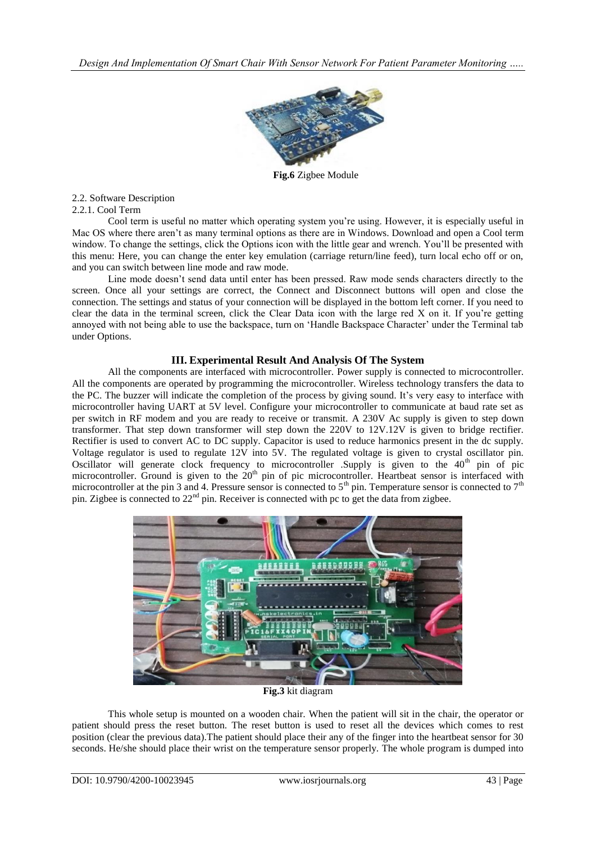

**Fig.6** Zigbee Module

## 2.2. Software Description

## 2.2.1. Cool Term

Cool term is useful no matter which operating system you"re using. However, it is especially useful in Mac OS where there aren"t as many terminal options as there are in Windows. Download and open a Cool term window. To change the settings, click the Options icon with the little gear and wrench. You'll be presented with this menu: Here, you can change the enter key emulation (carriage return/line feed), turn local echo off or on, and you can switch between line mode and raw mode.

Line mode doesn't send data until enter has been pressed. Raw mode sends characters directly to the screen. Once all your settings are correct, the Connect and Disconnect buttons will open and close the connection. The settings and status of your connection will be displayed in the bottom left corner. If you need to clear the data in the terminal screen, click the Clear Data icon with the large red X on it. If you"re getting annoyed with not being able to use the backspace, turn on 'Handle Backspace Character' under the Terminal tab under Options.

## **III. Experimental Result And Analysis Of The System**

All the components are interfaced with microcontroller. Power supply is connected to microcontroller. All the components are operated by programming the microcontroller. Wireless technology transfers the data to the PC. The buzzer will indicate the completion of the process by giving sound. It's very easy to interface with microcontroller having UART at 5V level. Configure your microcontroller to communicate at baud rate set as per switch in RF modem and you are ready to receive or transmit. A 230V Ac supply is given to step down transformer. That step down transformer will step down the 220V to 12V.12V is given to bridge rectifier. Rectifier is used to convert AC to DC supply. Capacitor is used to reduce harmonics present in the dc supply. Voltage regulator is used to regulate 12V into 5V. The regulated voltage is given to crystal oscillator pin. Oscillator will generate clock frequency to microcontroller .Supply is given to the  $40<sup>th</sup>$  pin of pic microcontroller. Ground is given to the 20<sup>th</sup> pin of pic microcontroller. Heartbeat sensor is interfaced with microcontroller at the pin 3 and 4. Pressure sensor is connected to  $5<sup>th</sup>$  pin. Temperature sensor is connected to  $7<sup>th</sup>$ pin. Zigbee is connected to  $22<sup>nd</sup>$  pin. Receiver is connected with pc to get the data from zigbee.



**Fig.3** kit diagram

This whole setup is mounted on a wooden chair. When the patient will sit in the chair, the operator or patient should press the reset button. The reset button is used to reset all the devices which comes to rest position (clear the previous data).The patient should place their any of the finger into the heartbeat sensor for 30 seconds. He/she should place their wrist on the temperature sensor properly. The whole program is dumped into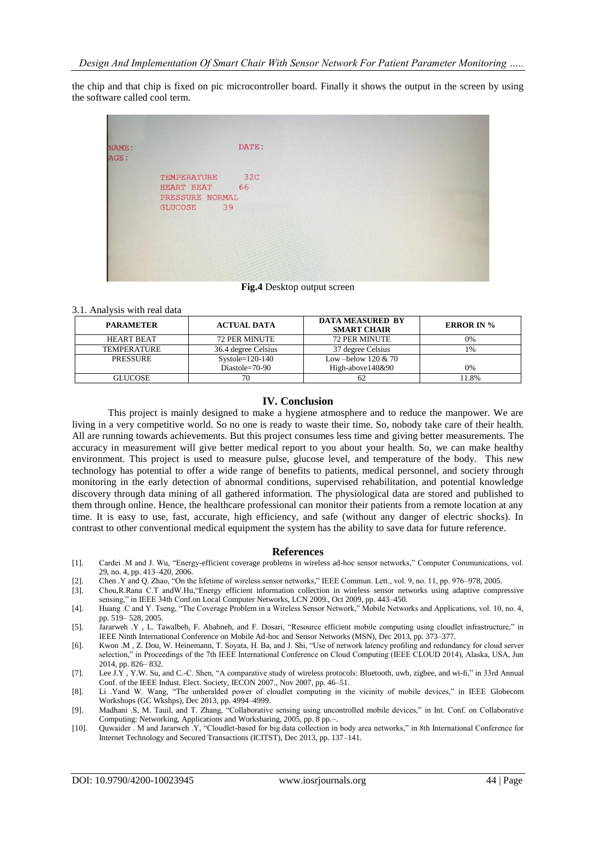the chip and that chip is fixed on pic microcontroller board. Finally it shows the output in the screen by using the software called cool term.

**Fig.4** Desktop output screen

| <b>PARAMETER</b>   | <b>ACTUAL DATA</b>   | <b>DATA MEASURED BY</b><br><b>SMART CHAIR</b> | <b>ERROR IN %</b> |
|--------------------|----------------------|-----------------------------------------------|-------------------|
| <b>HEART BEAT</b>  | <b>72 PER MINUTE</b> | <b>72 PER MINUTE</b>                          | 0%                |
| <b>TEMPERATURE</b> | 36.4 degree Celsius  | 37 degree Celsius                             | 1%                |
| <b>PRESSURE</b>    | $Systole=120-140$    | Low –below $120 \& 70$                        |                   |
|                    | Diastole= $70-90$    | High-above140&90                              | 0%                |
| GLUCOSE            | 70                   | 62                                            | 1.8%              |

### **IV. Conclusion**

This project is mainly designed to make a hygiene atmosphere and to reduce the manpower. We are living in a very competitive world. So no one is ready to waste their time. So, nobody take care of their health. All are running towards achievements. But this project consumes less time and giving better measurements. The accuracy in measurement will give better medical report to you about your health. So, we can make healthy environment. This project is used to measure pulse, glucose level, and temperature of the body. This new technology has potential to offer a wide range of benefits to patients, medical personnel, and society through monitoring in the early detection of abnormal conditions, supervised rehabilitation, and potential knowledge discovery through data mining of all gathered information. The physiological data are stored and published to them through online. Hence, the healthcare professional can monitor their patients from a remote location at any time. It is easy to use, fast, accurate, high efficiency, and safe (without any danger of electric shocks). In contrast to other conventional medical equipment the system has the ability to save data for future reference.

#### **References**

- [1]. Cardei .M and J. Wu, "Energy-efficient coverage problems in wireless ad-hoc sensor networks," Computer Communications, vol. 29, no. 4, pp. 413–420, 2006.
- [2]. Chen .Y and Q. Zhao, "On the lifetime of wireless sensor networks," IEEE Commun. Lett., vol. 9, no. 11, pp. 976–978, 2005.
- [3]. Chou,R.Rana C.T andW.Hu,"Energy efficient information collection in wireless sensor networks using adaptive compressive sensing," in IEEE 34th Conf.on Local Computer Networks, LCN 2009., Oct 2009, pp. 443–450.
- [4]. Huang .C and Y. Tseng, "The Coverage Problem in a Wireless Sensor Network," Mobile Networks and Applications, vol. 10, no. 4, pp. 519– 528, 2005.
- [5]. Jararweh .Y , L. Tawalbeh, F. Ababneh, and F. Dosari, "Resource efficient mobile computing using cloudlet infrastructure," in IEEE Ninth International Conference on Mobile Ad-hoc and Sensor Networks (MSN), Dec 2013, pp. 373–377.
- [6]. Kwon .M , Z. Dou, W. Heinemann, T. Soyata, H. Ba, and J. Shi, "Use of network latency profiling and redundancy for cloud server selection," in Proceedings of the 7th IEEE International Conference on Cloud Computing (IEEE CLOUD 2014), Alaska, USA, Jun 2014, pp. 826– 832.
- [7]. Lee J.Y , Y.W. Su, and C.-C. Shen, "A comparative study of wireless protocols: Bluetooth, uwb, zigbee, and wi-fi," in 33rd Annual Conf. of the IEEE Indust. Elect. Society, IECON 2007., Nov 2007, pp. 46–51.
- [8]. Li .Yand W. Wang, "The unheralded power of cloudlet computing in the vicinity of mobile devices," in IEEE Globecom Workshops (GC Wkshps), Dec 2013, pp. 4994–4999.
- [9]. Madhani .S, M. Tauil, and T. Zhang, "Collaborative sensing using uncontrolled mobile devices," in Int. Conf. on Collaborative Computing: Networking, Applications and Worksharing, 2005, pp. 8 pp.–.
- [10]. Quwaider . M and Jararweh .Y, "Cloudlet-based for big data collection in body area networks," in 8th International Conference for Internet Technology and Secured Transactions (ICITST), Dec 2013, pp. 137–141.